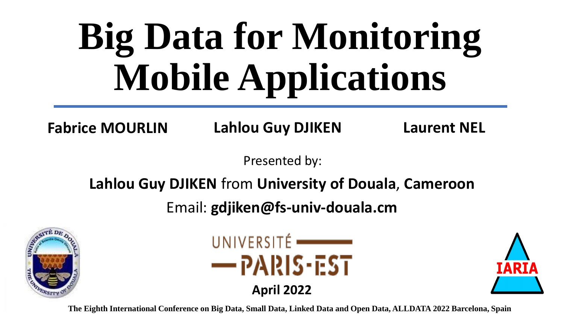# **Big Data for Monitoring Mobile Applications**

**Fabrice MOURLIN Lahlou Guy DJIKEN Laurent NEL**

Presented by:

#### **Lahlou Guy DJIKEN** from **University of Douala**, **Cameroon**

Email: **gdjiken@fs-univ-douala.cm**





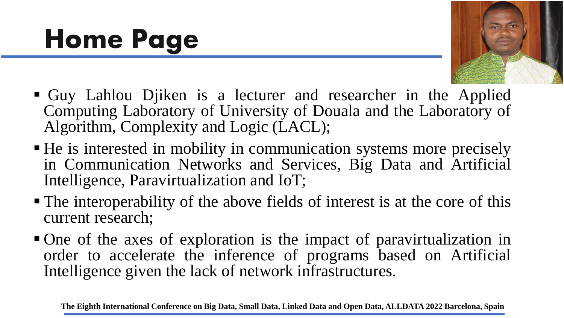#### **Home Page**



- Guy Lahlou Djiken is a lecturer and researcher in the Applied Computing Laboratory of University of Douala and the Laboratory of Algorithm, Complexity and Logic (LACL);
- He is interested in mobility in communication systems more precisely in Communication Networks and Services, Big Data and Artificial Intelligence, Paravirtualization and IoT;
- The interoperability of the above fields of interest is at the core of this current research;
- One of the axes of exploration is the impact of paravirtualization in order to accelerate the inference of programs based on Artificial Intelligence given the lack of network infrastructures.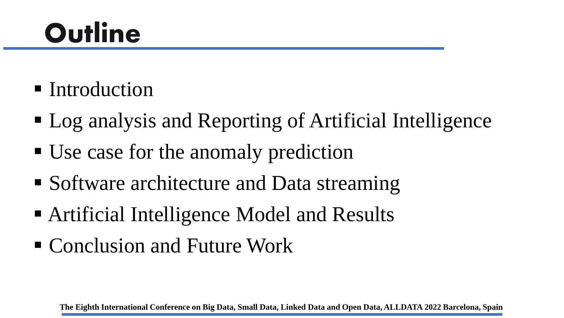#### **Outline**

- Introduction
- Log analysis and Reporting of Artificial Intelligence
- Use case for the anomaly prediction
- Software architecture and Data streaming
- Artificial Intelligence Model and Results
- Conclusion and Future Work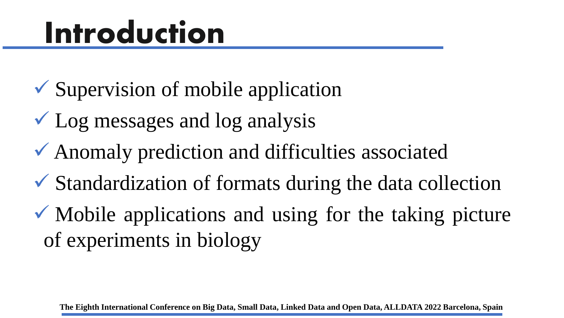#### **Introduction**

- ✓ Supervision of mobile application
- $\checkmark$  Log messages and log analysis
- $\checkmark$  Anomaly prediction and difficulties associated
- ✓ Standardization of formats during the data collection
- $\checkmark$  Mobile applications and using for the taking picture of experiments in biology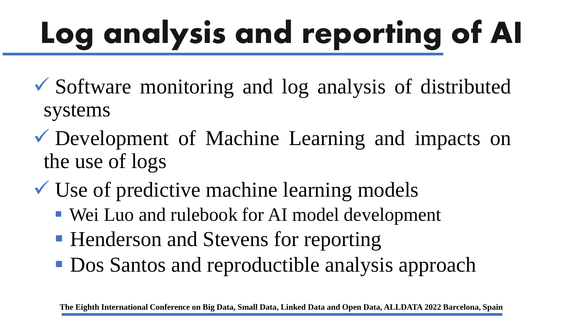# **Log analysis and reporting of AI**

- ✓ Software monitoring and log analysis of distributed systems
- ✓ Development of Machine Learning and impacts on the use of logs
- $\checkmark$  Use of predictive machine learning models
	- Wei Luo and rulebook for AI model development
	- Henderson and Stevens for reporting
	- Dos Santos and reproductible analysis approach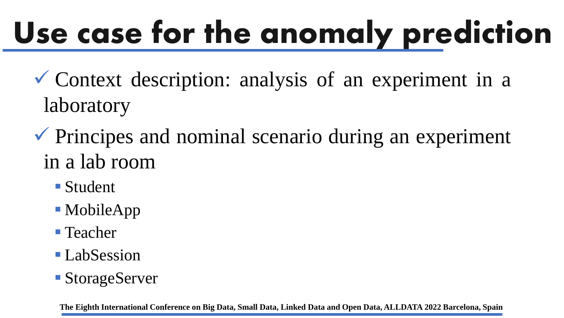# **Use case for the anomaly prediction**

- $\checkmark$  Context description: analysis of an experiment in a laboratory
- $\checkmark$  Principes and nominal scenario during an experiment in a lab room
	- Student
	- MobileApp
	- Teacher
	- LabSession
	- StorageServer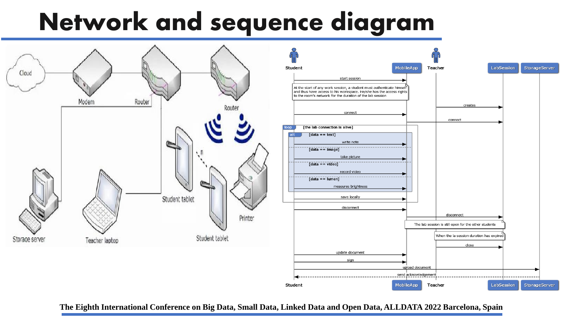#### **Network and sequence diagram**

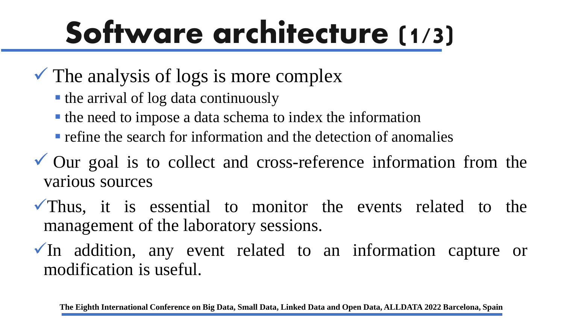#### **Software architecture (1/3)**

- $\checkmark$  The analysis of logs is more complex
	- the arrival of log data continuously
	- the need to impose a data schema to index the information
	- $\blacksquare$  refine the search for information and the detection of anomalies
- ✓ Our goal is to collect and cross-reference information from the various sources
- $\sqrt{\ }$ Thus, it is essential to monitor the events related to the management of the laboratory sessions.
- $\checkmark$  In addition, any event related to an information capture or modification is useful.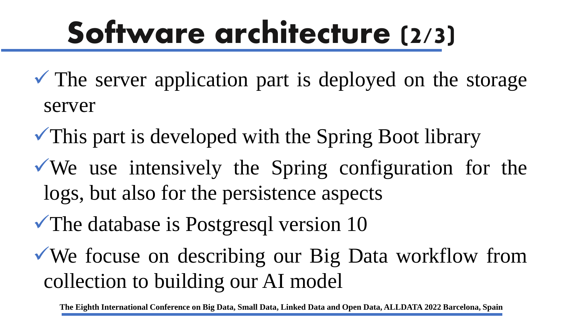#### **Software architecture (2/3)**

- $\checkmark$  The server application part is deployed on the storage server
- $\checkmark$ This part is developed with the Spring Boot library
- $\sqrt{W}$  we use intensively the Spring configuration for the logs, but also for the persistence aspects
- ✓The database is Postgresql version 10
- ✓We focuse on describing our Big Data workflow from collection to building our AI model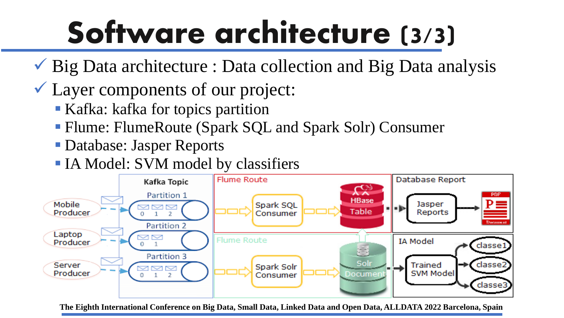# **Software architecture (3/3)**

- $\checkmark$  Big Data architecture : Data collection and Big Data analysis
- $\checkmark$  Layer components of our project:
	- Kafka: kafka for topics partition
	- Flume: FlumeRoute (Spark SQL and Spark Solr) Consumer
	- Database: Jasper Reports
	- **IA Model: SVM model by classifiers**

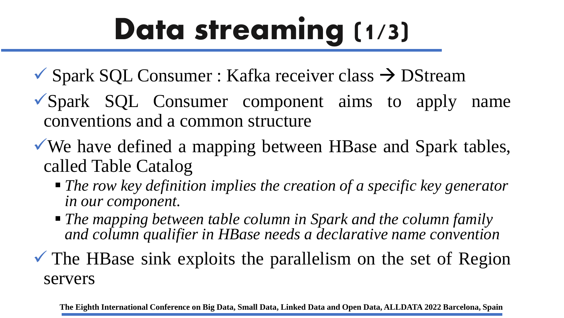#### **Data streaming (1/3)**

- $\checkmark$  Spark SQL Consumer : Kafka receiver class  $\to$  DStream
- $\sqrt{\text{Spark}}$  SQL Consumer component aims to apply name conventions and a common structure
- ✓We have defined a mapping between HBase and Spark tables, called Table Catalog
	- *The row key definition implies the creation of a specific key generator in our component.*
	- *The mapping between table column in Spark and the column family and column qualifier in HBase needs a declarative name convention*
- $\checkmark$  The HBase sink exploits the parallelism on the set of Region servers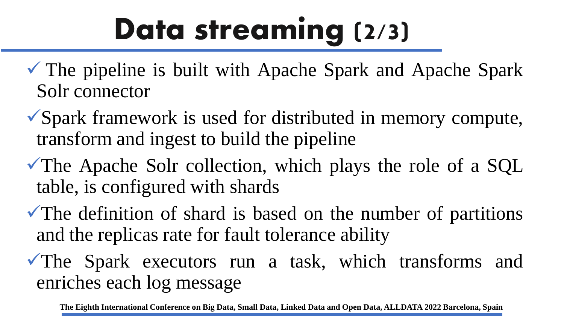#### **Data streaming (2/3)**

- $\checkmark$  The pipeline is built with Apache Spark and Apache Spark Solr connector
- ✓Spark framework is used for distributed in memory compute, transform and ingest to build the pipeline
- ✓The Apache Solr collection, which plays the role of a SQL table, is configured with shards
- $\checkmark$ The definition of shard is based on the number of partitions and the replicas rate for fault tolerance ability
- $\sqrt{T}$ he Spark executors run a task, which transforms and enriches each log message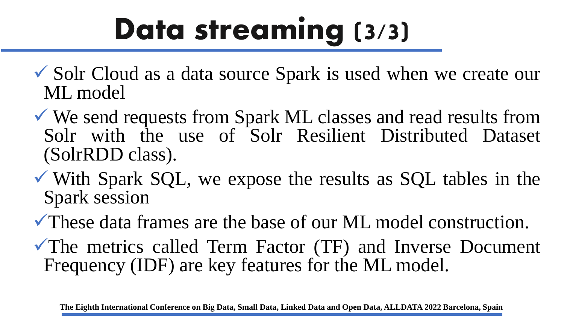#### **Data streaming (3/3)**

- ✓ Solr Cloud as a data source Spark is used when we create our ML model
- ✓ We send requests from Spark ML classes and read results from Solr with the use of Solr Resilient Distributed Dataset (SolrRDD class).
- $\checkmark$  With Spark SQL, we expose the results as SQL tables in the Spark session
- ✓These data frames are the base of our ML model construction.
- $\checkmark$ The metrics called Term Factor (TF) and Inverse Document Frequency (IDF) are key features for the ML model.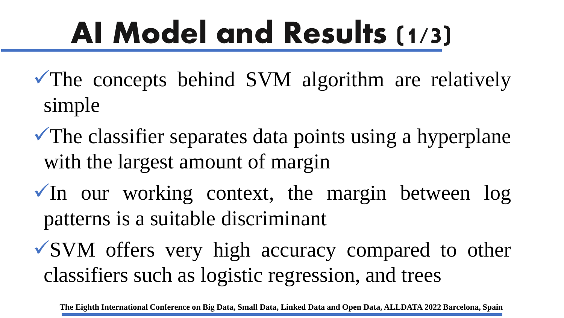#### **AI Model and Results (1/3)**

- $\sqrt{\ }$ The concepts behind SVM algorithm are relatively simple
- $\sqrt{\ }$ The classifier separates data points using a hyperplane with the largest amount of margin
- $\sqrt{ }$ In our working context, the margin between log patterns is a suitable discriminant
- ✓SVM offers very high accuracy compared to other classifiers such as logistic regression, and trees

**The Eighth International Conference on Big Data, Small Data, Linked Data and Open Data, ALLDATA 2022 Barcelona, Spain**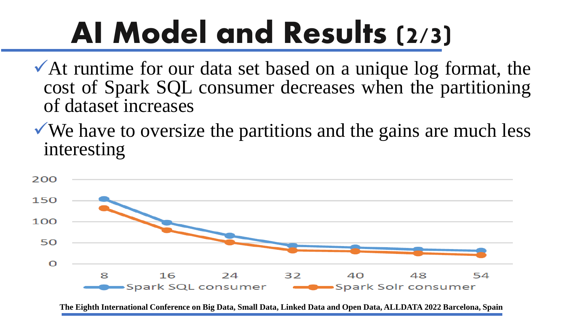#### **AI Model and Results (2/3)**

- $\checkmark$  At runtime for our data set based on a unique log format, the cost of Spark SQL consumer decreases when the partitioning of dataset increases
- $\sqrt{ }$  We have to oversize the partitions and the gains are much less interesting

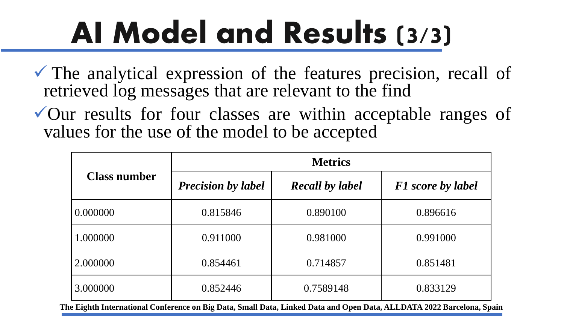### **AI Model and Results (3/3)**

 $\checkmark$  The analytical expression of the features precision, recall of retrieved log messages that are relevant to the find

✓Our results for four classes are within acceptable ranges of values for the use of the model to be accepted

| <b>Class number</b> | <b>Metrics</b>            |                        |                          |
|---------------------|---------------------------|------------------------|--------------------------|
|                     | <b>Precision by label</b> | <b>Recall by label</b> | <b>F1</b> score by label |
| 0.000000            | 0.815846                  | 0.890100               | 0.896616                 |
| 1.000000            | 0.911000                  | 0.981000               | 0.991000                 |
| 2.000000            | 0.854461                  | 0.714857               | 0.851481                 |
| 3.000000            | 0.852446                  | 0.7589148              | 0.833129                 |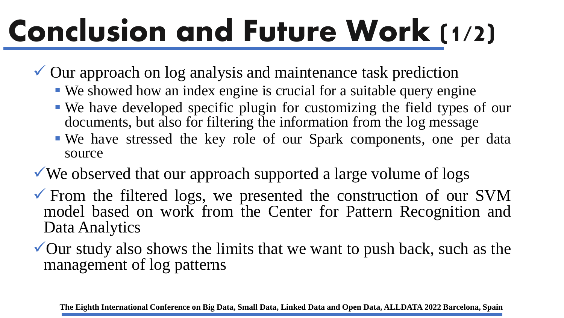# **Conclusion and Future Work (1/2)**

- ✓ Our approach on log analysis and maintenance task prediction
	- We showed how an index engine is crucial for a suitable query engine
	- We have developed specific plugin for customizing the field types of our documents, but also for filtering the information from the log message
	- We have stressed the key role of our Spark components, one per data source
- $\checkmark$  We observed that our approach supported a large volume of logs
- $\checkmark$  From the filtered logs, we presented the construction of our SVM model based on work from the Center for Pattern Recognition and Data Analytics
- $\checkmark$  Our study also shows the limits that we want to push back, such as the management of log patterns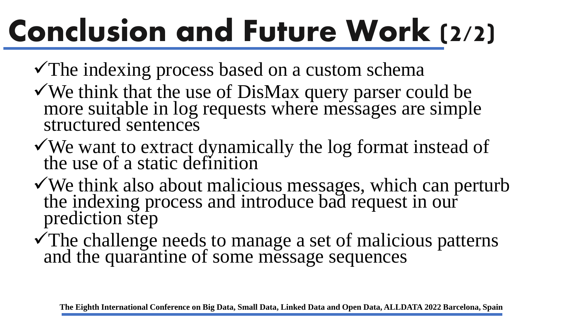## **Conclusion and Future Work (2/2)**

- $\checkmark$ The indexing process based on a custom schema
- ✓We think that the use of DisMax query parser could be more suitable in log requests where messages are simple structured sentences
- ✓We want to extract dynamically the log format instead of the use of a static definition
- ✓We think also about malicious messages, which can perturb the indexing process and introduce bad request in our prediction step
- ✓The challenge needs to manage a set of malicious patterns and the quarantine of some message sequences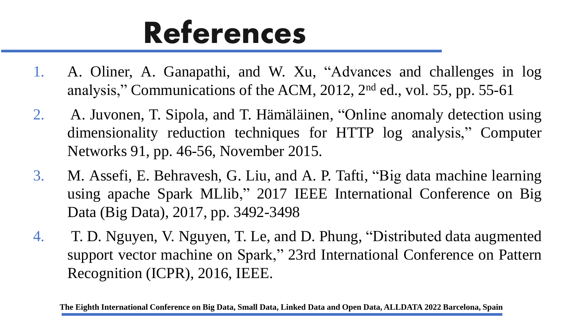#### **References**

- 1. A. Oliner, A. Ganapathi, and W. Xu, "Advances and challenges in log analysis," Communications of the ACM, 2012, 2<sup>nd</sup> ed., vol. 55, pp. 55-61
- 2. A. Juvonen, T. Sipola, and T. Hämäläinen, "Online anomaly detection using dimensionality reduction techniques for HTTP log analysis," Computer Networks 91, pp. 46-56, November 2015.
- 3. M. Assefi, E. Behravesh, G. Liu, and A. P. Tafti, "Big data machine learning using apache Spark MLlib," 2017 IEEE International Conference on Big Data (Big Data), 2017, pp. 3492-3498
- 4. T. D. Nguyen, V. Nguyen, T. Le, and D. Phung, "Distributed data augmented support vector machine on Spark," 23rd International Conference on Pattern Recognition (ICPR), 2016, IEEE.